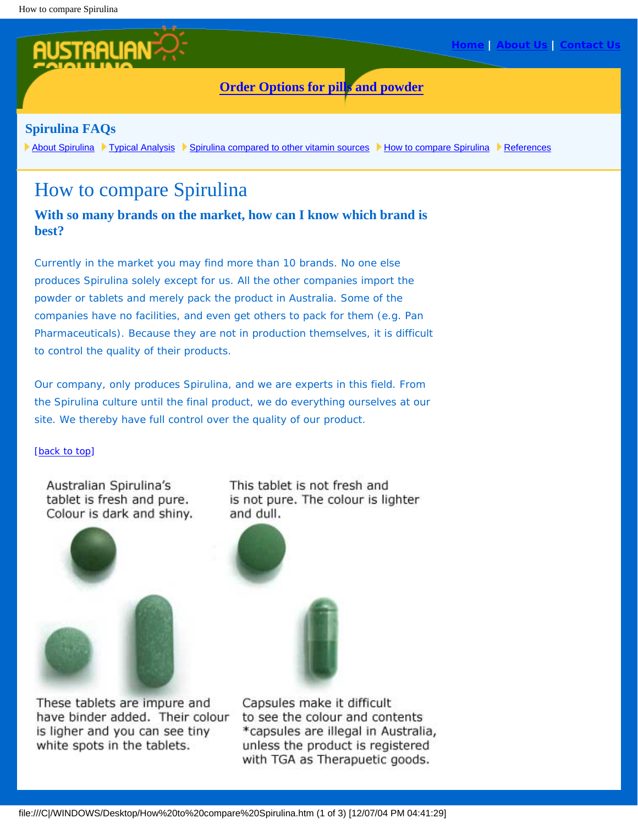## **[Order Options for pills and powder](http://www.australianspirulina.com.au/spirulina/order.html)**

### **Spirulina FAQs**

[About Spirulina](http://www.australianspirulina.com.au/spirulina/spirulina.html) [Typical Analysis](http://www.australianspirulina.com.au/spirulina/analysis.html) [Spirulina compared to other vitamin sources](http://www.australianspirulina.com.au/spirulina/comparisontable.html) [How to compare Spirulina](http://www.australianspirulina.com.au/spirulina/howtocompare.html) [References](http://www.australianspirulina.com.au/spirulina/references.html)

# How to compare Spirulina

### **With so many brands on the market, how can I know which brand is best?**

Currently in the market you may find more than 10 brands. No one else produces Spirulina solely except for us. All the other companies import the powder or tablets and merely pack the product in Australia. Some of the companies have no facilities, and even get others to pack for them (e.g. Pan Pharmaceuticals). Because they are not in production themselves, it is difficult to control the quality of their products.

Our company, only produces Spirulina, and we are experts in this field. From the Spirulina culture until the final product, we do everything ourselves at our site. We thereby have full control over the quality of our product.

#### [\[back to top](http://www.australianspirulina.com.au/spirulina/howtocompare.html#top)]

Australian Spirulina's tablet is fresh and pure. Colour is dark and shiny.



These tablets are impure and have binder added. Their colour is ligher and you can see tiny white spots in the tablets.

This tablet is not fresh and is not pure. The colour is lighter and dull.



Capsules make it difficult to see the colour and contents \*capsules are illegal in Australia, unless the product is registered with TGA as Therapuetic goods.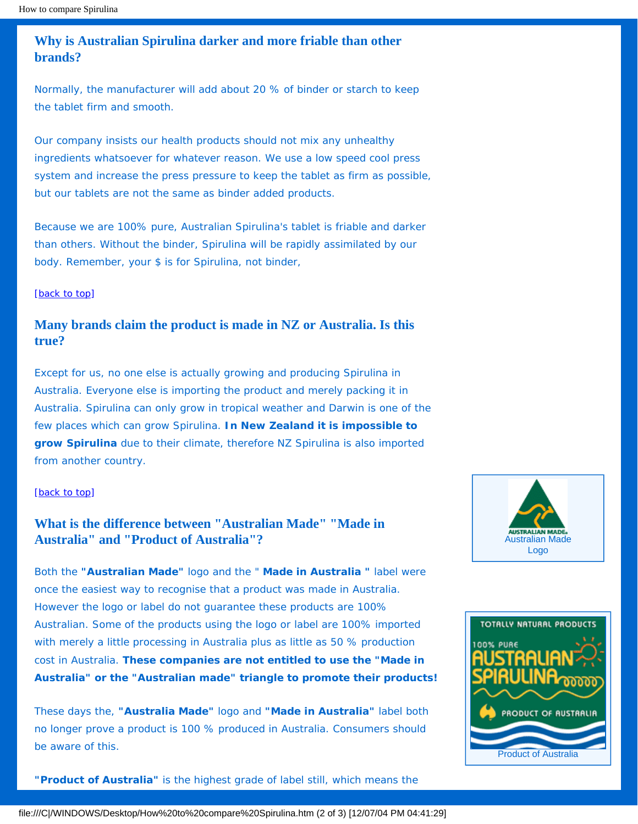**Why is Australian Spirulina darker and more friable than other brands?** 

Normally, the manufacturer will add about 20 % of binder or starch to keep the tablet firm and smooth.

Our company insists our health products should not mix any unhealthy ingredients whatsoever for whatever reason. We use a low speed cool press system and increase the press pressure to keep the tablet as firm as possible, but our tablets are not the same as binder added products.

Because we are 100% pure, Australian Spirulina's tablet is friable and darker than others. Without the binder, Spirulina will be rapidly assimilated by our body. Remember, your \$ is for Spirulina, not binder,

#### [\[back to top](http://www.australianspirulina.com.au/spirulina/howtocompare.html#top)]

### **Many brands claim the product is made in NZ or Australia. Is this true?**

Except for us, no one else is actually growing and producing Spirulina in Australia. Everyone else is importing the product and merely packing it in Australia. Spirulina can only grow in tropical weather and Darwin is one of the few places which can grow Spirulina. **In New Zealand it is impossible to grow Spirulina** due to their climate, therefore NZ Spirulina is also imported from another country.

#### [\[back to top](http://www.australianspirulina.com.au/spirulina/howtocompare.html#top)]

### **What is the difference between "Australian Made" "Made in Australia" and "Product of Australia"?**

Both the **"Australian Made"** logo and the " **Made in Australia "** label were once the easiest way to recognise that a product was made in Australia. However the logo or label do not guarantee these products are 100% Australian. Some of the products using the logo or label are 100% imported with merely a little processing in Australia plus as little as 50 % production cost in Australia. **These companies are not entitled to use the "Made in Australia" or the "Australian made" triangle to promote their products!** 

These days the, **"Australia Made"** logo and **"Made in Australia"** label both no longer prove a product is 100 % produced in Australia. Consumers should be aware of this.

**"Product of Australia"** is the highest grade of label still, which means the





file:///C|/WINDOWS/Desktop/How%20to%20compare%20Spirulina.htm (2 of 3) [12/07/04 PM 04:41:29]